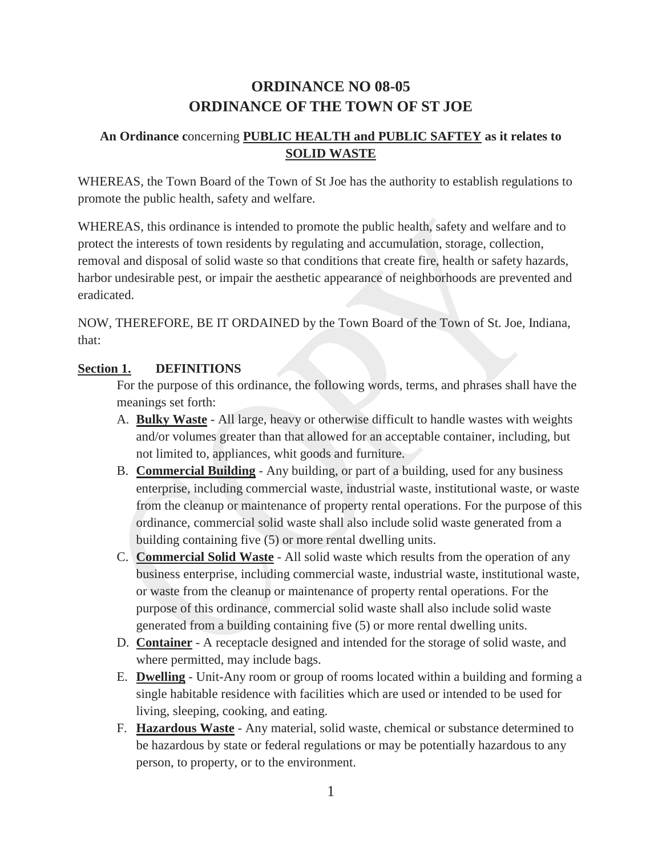## **ORDINANCE NO 08-05 ORDINANCE OF THE TOWN OF ST JOE**

## **An Ordinance c**oncerning **PUBLIC HEALTH and PUBLIC SAFTEY as it relates to SOLID WASTE**

WHEREAS, the Town Board of the Town of St Joe has the authority to establish regulations to promote the public health, safety and welfare.

WHEREAS, this ordinance is intended to promote the public health, safety and welfare and to protect the interests of town residents by regulating and accumulation, storage, collection, removal and disposal of solid waste so that conditions that create fire, health or safety hazards, harbor undesirable pest, or impair the aesthetic appearance of neighborhoods are prevented and eradicated.

NOW, THEREFORE, BE IT ORDAINED by the Town Board of the Town of St. Joe, Indiana, that:

#### **Section 1. DEFINITIONS**

For the purpose of this ordinance, the following words, terms, and phrases shall have the meanings set forth:

- A. **Bulky Waste** All large, heavy or otherwise difficult to handle wastes with weights and/or volumes greater than that allowed for an acceptable container, including, but not limited to, appliances, whit goods and furniture.
- B. **Commercial Building** Any building, or part of a building, used for any business enterprise, including commercial waste, industrial waste, institutional waste, or waste from the cleanup or maintenance of property rental operations. For the purpose of this ordinance, commercial solid waste shall also include solid waste generated from a building containing five (5) or more rental dwelling units.
- C. **Commercial Solid Waste** All solid waste which results from the operation of any business enterprise, including commercial waste, industrial waste, institutional waste, or waste from the cleanup or maintenance of property rental operations. For the purpose of this ordinance, commercial solid waste shall also include solid waste generated from a building containing five (5) or more rental dwelling units.
- D. **Container** A receptacle designed and intended for the storage of solid waste, and where permitted, may include bags.
- E. **Dwelling** Unit-Any room or group of rooms located within a building and forming a single habitable residence with facilities which are used or intended to be used for living, sleeping, cooking, and eating.
- F. **Hazardous Waste** Any material, solid waste, chemical or substance determined to be hazardous by state or federal regulations or may be potentially hazardous to any person, to property, or to the environment.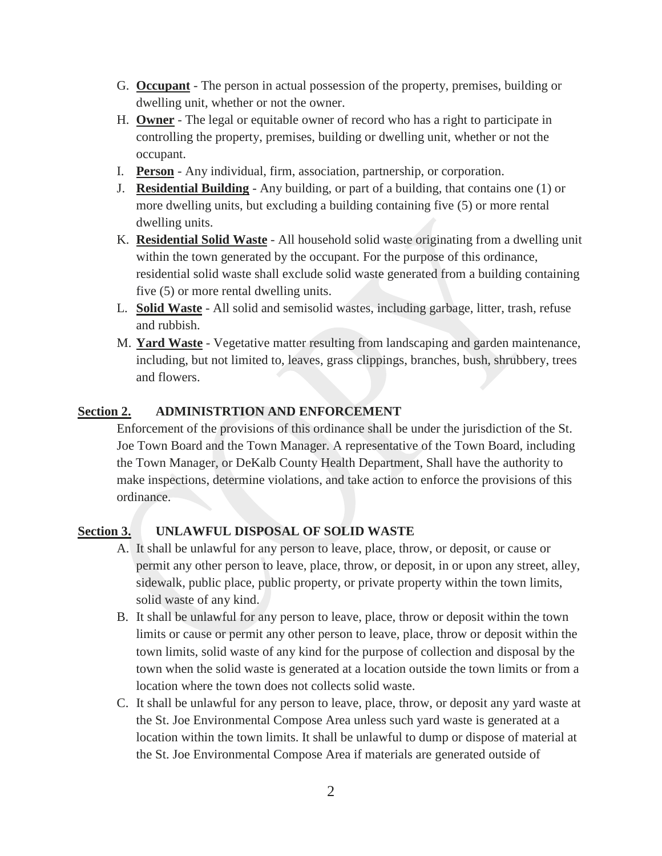- G. **Occupant** The person in actual possession of the property, premises, building or dwelling unit, whether or not the owner.
- H. **Owner** The legal or equitable owner of record who has a right to participate in controlling the property, premises, building or dwelling unit, whether or not the occupant.
- I. **Person** Any individual, firm, association, partnership, or corporation.
- J. **Residential Building** Any building, or part of a building, that contains one (1) or more dwelling units, but excluding a building containing five (5) or more rental dwelling units.
- K. **Residential Solid Waste** All household solid waste originating from a dwelling unit within the town generated by the occupant. For the purpose of this ordinance, residential solid waste shall exclude solid waste generated from a building containing five (5) or more rental dwelling units.
- L. **Solid Waste** All solid and semisolid wastes, including garbage, litter, trash, refuse and rubbish.
- M. **Yard Waste** Vegetative matter resulting from landscaping and garden maintenance, including, but not limited to, leaves, grass clippings, branches, bush, shrubbery, trees and flowers.

#### **Section 2. ADMINISTRTION AND ENFORCEMENT**

Enforcement of the provisions of this ordinance shall be under the jurisdiction of the St. Joe Town Board and the Town Manager. A representative of the Town Board, including the Town Manager, or DeKalb County Health Department, Shall have the authority to make inspections, determine violations, and take action to enforce the provisions of this ordinance.

## **Section 3. UNLAWFUL DISPOSAL OF SOLID WASTE**

- A. It shall be unlawful for any person to leave, place, throw, or deposit, or cause or permit any other person to leave, place, throw, or deposit, in or upon any street, alley, sidewalk, public place, public property, or private property within the town limits, solid waste of any kind.
- B. It shall be unlawful for any person to leave, place, throw or deposit within the town limits or cause or permit any other person to leave, place, throw or deposit within the town limits, solid waste of any kind for the purpose of collection and disposal by the town when the solid waste is generated at a location outside the town limits or from a location where the town does not collects solid waste.
- C. It shall be unlawful for any person to leave, place, throw, or deposit any yard waste at the St. Joe Environmental Compose Area unless such yard waste is generated at a location within the town limits. It shall be unlawful to dump or dispose of material at the St. Joe Environmental Compose Area if materials are generated outside of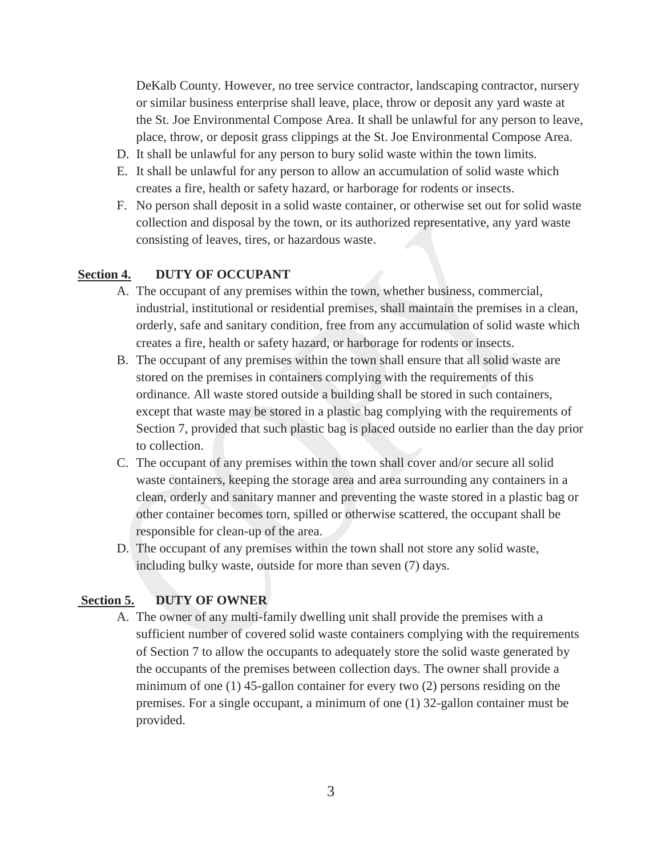DeKalb County. However, no tree service contractor, landscaping contractor, nursery or similar business enterprise shall leave, place, throw or deposit any yard waste at the St. Joe Environmental Compose Area. It shall be unlawful for any person to leave, place, throw, or deposit grass clippings at the St. Joe Environmental Compose Area.

- D. It shall be unlawful for any person to bury solid waste within the town limits.
- E. It shall be unlawful for any person to allow an accumulation of solid waste which creates a fire, health or safety hazard, or harborage for rodents or insects.
- F. No person shall deposit in a solid waste container, or otherwise set out for solid waste collection and disposal by the town, or its authorized representative, any yard waste consisting of leaves, tires, or hazardous waste.

#### **Section 4. DUTY OF OCCUPANT**

- A. The occupant of any premises within the town, whether business, commercial, industrial, institutional or residential premises, shall maintain the premises in a clean, orderly, safe and sanitary condition, free from any accumulation of solid waste which creates a fire, health or safety hazard, or harborage for rodents or insects.
- B. The occupant of any premises within the town shall ensure that all solid waste are stored on the premises in containers complying with the requirements of this ordinance. All waste stored outside a building shall be stored in such containers, except that waste may be stored in a plastic bag complying with the requirements of Section 7, provided that such plastic bag is placed outside no earlier than the day prior to collection.
- C. The occupant of any premises within the town shall cover and/or secure all solid waste containers, keeping the storage area and area surrounding any containers in a clean, orderly and sanitary manner and preventing the waste stored in a plastic bag or other container becomes torn, spilled or otherwise scattered, the occupant shall be responsible for clean-up of the area.
- D. The occupant of any premises within the town shall not store any solid waste, including bulky waste, outside for more than seven (7) days.

#### **Section 5. DUTY OF OWNER**

A. The owner of any multi-family dwelling unit shall provide the premises with a sufficient number of covered solid waste containers complying with the requirements of Section 7 to allow the occupants to adequately store the solid waste generated by the occupants of the premises between collection days. The owner shall provide a minimum of one (1) 45-gallon container for every two (2) persons residing on the premises. For a single occupant, a minimum of one (1) 32-gallon container must be provided.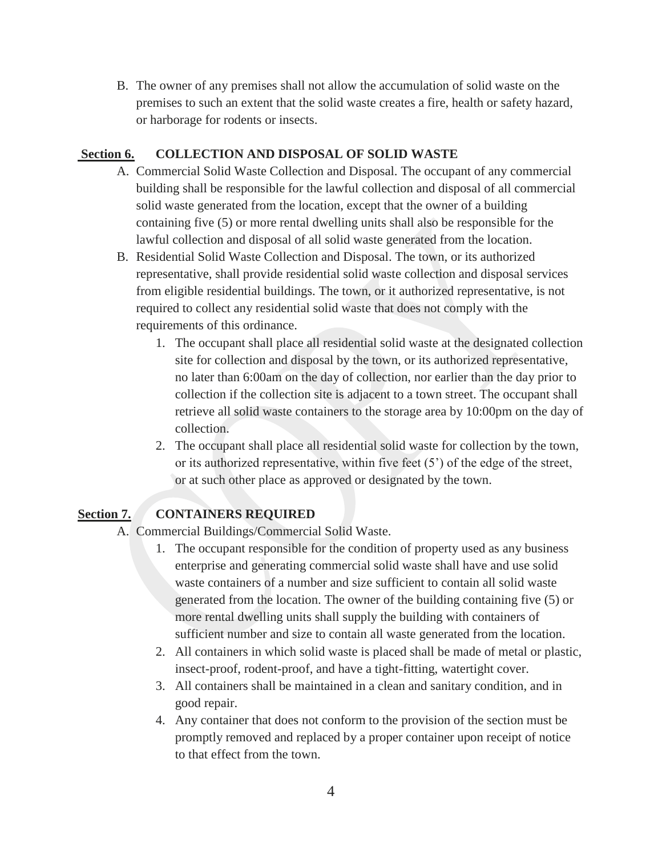B. The owner of any premises shall not allow the accumulation of solid waste on the premises to such an extent that the solid waste creates a fire, health or safety hazard, or harborage for rodents or insects.

#### **Section 6. COLLECTION AND DISPOSAL OF SOLID WASTE**

- A. Commercial Solid Waste Collection and Disposal. The occupant of any commercial building shall be responsible for the lawful collection and disposal of all commercial solid waste generated from the location, except that the owner of a building containing five (5) or more rental dwelling units shall also be responsible for the lawful collection and disposal of all solid waste generated from the location.
- B. Residential Solid Waste Collection and Disposal. The town, or its authorized representative, shall provide residential solid waste collection and disposal services from eligible residential buildings. The town, or it authorized representative, is not required to collect any residential solid waste that does not comply with the requirements of this ordinance.
	- 1. The occupant shall place all residential solid waste at the designated collection site for collection and disposal by the town, or its authorized representative, no later than 6:00am on the day of collection, nor earlier than the day prior to collection if the collection site is adjacent to a town street. The occupant shall retrieve all solid waste containers to the storage area by 10:00pm on the day of collection.
	- 2. The occupant shall place all residential solid waste for collection by the town, or its authorized representative, within five feet (5') of the edge of the street, or at such other place as approved or designated by the town.

## **Section 7. CONTAINERS REQUIRED**

- A. Commercial Buildings/Commercial Solid Waste.
	- 1. The occupant responsible for the condition of property used as any business enterprise and generating commercial solid waste shall have and use solid waste containers of a number and size sufficient to contain all solid waste generated from the location. The owner of the building containing five (5) or more rental dwelling units shall supply the building with containers of sufficient number and size to contain all waste generated from the location.
	- 2. All containers in which solid waste is placed shall be made of metal or plastic, insect-proof, rodent-proof, and have a tight-fitting, watertight cover.
	- 3. All containers shall be maintained in a clean and sanitary condition, and in good repair.
	- 4. Any container that does not conform to the provision of the section must be promptly removed and replaced by a proper container upon receipt of notice to that effect from the town.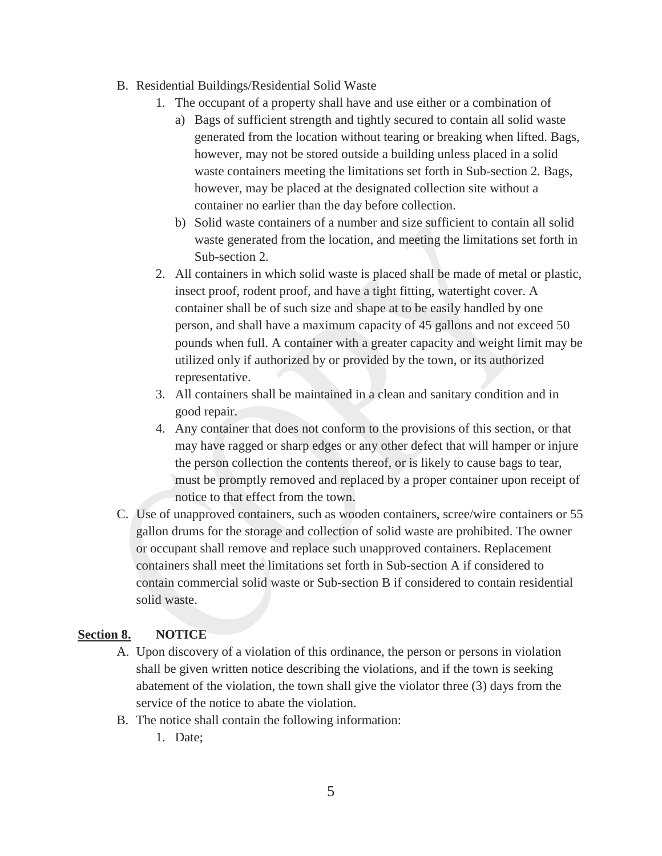- B. Residential Buildings/Residential Solid Waste
	- 1. The occupant of a property shall have and use either or a combination of
		- a) Bags of sufficient strength and tightly secured to contain all solid waste generated from the location without tearing or breaking when lifted. Bags, however, may not be stored outside a building unless placed in a solid waste containers meeting the limitations set forth in Sub-section 2. Bags, however, may be placed at the designated collection site without a container no earlier than the day before collection.
		- b) Solid waste containers of a number and size sufficient to contain all solid waste generated from the location, and meeting the limitations set forth in Sub-section 2.
	- 2. All containers in which solid waste is placed shall be made of metal or plastic, insect proof, rodent proof, and have a tight fitting, watertight cover. A container shall be of such size and shape at to be easily handled by one person, and shall have a maximum capacity of 45 gallons and not exceed 50 pounds when full. A container with a greater capacity and weight limit may be utilized only if authorized by or provided by the town, or its authorized representative.
	- 3. All containers shall be maintained in a clean and sanitary condition and in good repair.
	- 4. Any container that does not conform to the provisions of this section, or that may have ragged or sharp edges or any other defect that will hamper or injure the person collection the contents thereof, or is likely to cause bags to tear, must be promptly removed and replaced by a proper container upon receipt of notice to that effect from the town.
- C. Use of unapproved containers, such as wooden containers, scree/wire containers or 55 gallon drums for the storage and collection of solid waste are prohibited. The owner or occupant shall remove and replace such unapproved containers. Replacement containers shall meet the limitations set forth in Sub-section A if considered to contain commercial solid waste or Sub-section B if considered to contain residential solid waste.

#### **Section 8. NOTICE**

- A. Upon discovery of a violation of this ordinance, the person or persons in violation shall be given written notice describing the violations, and if the town is seeking abatement of the violation, the town shall give the violator three (3) days from the service of the notice to abate the violation.
- B. The notice shall contain the following information:
	- 1. Date;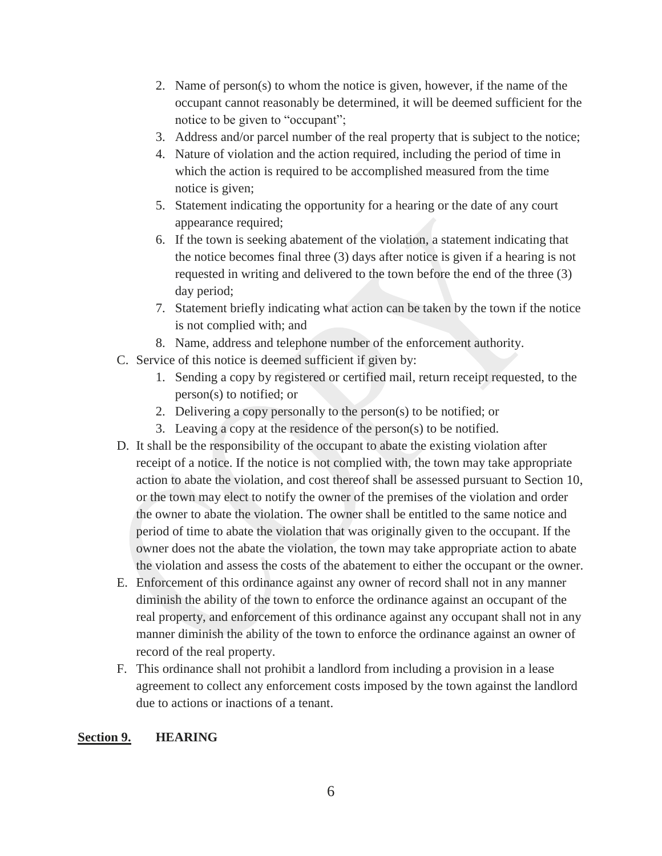- 2. Name of person(s) to whom the notice is given, however, if the name of the occupant cannot reasonably be determined, it will be deemed sufficient for the notice to be given to "occupant";
- 3. Address and/or parcel number of the real property that is subject to the notice;
- 4. Nature of violation and the action required, including the period of time in which the action is required to be accomplished measured from the time notice is given;
- 5. Statement indicating the opportunity for a hearing or the date of any court appearance required;
- 6. If the town is seeking abatement of the violation, a statement indicating that the notice becomes final three (3) days after notice is given if a hearing is not requested in writing and delivered to the town before the end of the three (3) day period;
- 7. Statement briefly indicating what action can be taken by the town if the notice is not complied with; and
- 8. Name, address and telephone number of the enforcement authority.
- C. Service of this notice is deemed sufficient if given by:
	- 1. Sending a copy by registered or certified mail, return receipt requested, to the person(s) to notified; or
	- 2. Delivering a copy personally to the person(s) to be notified; or
	- 3. Leaving a copy at the residence of the person(s) to be notified.
- D. It shall be the responsibility of the occupant to abate the existing violation after receipt of a notice. If the notice is not complied with, the town may take appropriate action to abate the violation, and cost thereof shall be assessed pursuant to Section 10, or the town may elect to notify the owner of the premises of the violation and order the owner to abate the violation. The owner shall be entitled to the same notice and period of time to abate the violation that was originally given to the occupant. If the owner does not the abate the violation, the town may take appropriate action to abate the violation and assess the costs of the abatement to either the occupant or the owner.
- E. Enforcement of this ordinance against any owner of record shall not in any manner diminish the ability of the town to enforce the ordinance against an occupant of the real property, and enforcement of this ordinance against any occupant shall not in any manner diminish the ability of the town to enforce the ordinance against an owner of record of the real property.
- F. This ordinance shall not prohibit a landlord from including a provision in a lease agreement to collect any enforcement costs imposed by the town against the landlord due to actions or inactions of a tenant.

#### **Section 9. HEARING**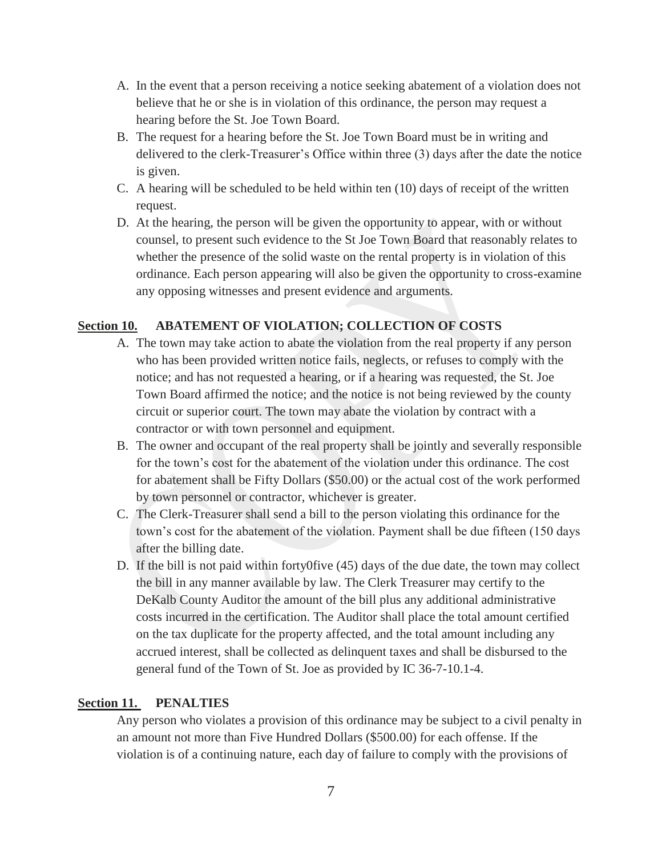- A. In the event that a person receiving a notice seeking abatement of a violation does not believe that he or she is in violation of this ordinance, the person may request a hearing before the St. Joe Town Board.
- B. The request for a hearing before the St. Joe Town Board must be in writing and delivered to the clerk-Treasurer's Office within three (3) days after the date the notice is given.
- C. A hearing will be scheduled to be held within ten (10) days of receipt of the written request.
- D. At the hearing, the person will be given the opportunity to appear, with or without counsel, to present such evidence to the St Joe Town Board that reasonably relates to whether the presence of the solid waste on the rental property is in violation of this ordinance. Each person appearing will also be given the opportunity to cross-examine any opposing witnesses and present evidence and arguments.

#### **Section 10. ABATEMENT OF VIOLATION; COLLECTION OF COSTS**

- A. The town may take action to abate the violation from the real property if any person who has been provided written notice fails, neglects, or refuses to comply with the notice; and has not requested a hearing, or if a hearing was requested, the St. Joe Town Board affirmed the notice; and the notice is not being reviewed by the county circuit or superior court. The town may abate the violation by contract with a contractor or with town personnel and equipment.
- B. The owner and occupant of the real property shall be jointly and severally responsible for the town's cost for the abatement of the violation under this ordinance. The cost for abatement shall be Fifty Dollars (\$50.00) or the actual cost of the work performed by town personnel or contractor, whichever is greater.
- C. The Clerk-Treasurer shall send a bill to the person violating this ordinance for the town's cost for the abatement of the violation. Payment shall be due fifteen (150 days after the billing date.
- D. If the bill is not paid within forty0five (45) days of the due date, the town may collect the bill in any manner available by law. The Clerk Treasurer may certify to the DeKalb County Auditor the amount of the bill plus any additional administrative costs incurred in the certification. The Auditor shall place the total amount certified on the tax duplicate for the property affected, and the total amount including any accrued interest, shall be collected as delinquent taxes and shall be disbursed to the general fund of the Town of St. Joe as provided by IC 36-7-10.1-4.

#### **Section 11. PENALTIES**

Any person who violates a provision of this ordinance may be subject to a civil penalty in an amount not more than Five Hundred Dollars (\$500.00) for each offense. If the violation is of a continuing nature, each day of failure to comply with the provisions of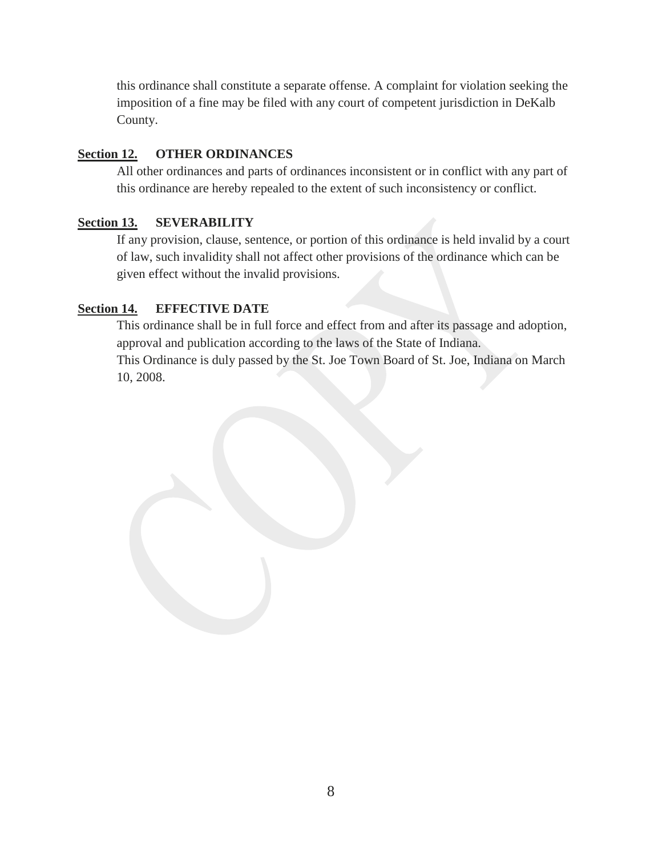this ordinance shall constitute a separate offense. A complaint for violation seeking the imposition of a fine may be filed with any court of competent jurisdiction in DeKalb County.

## **Section 12. OTHER ORDINANCES**

All other ordinances and parts of ordinances inconsistent or in conflict with any part of this ordinance are hereby repealed to the extent of such inconsistency or conflict.

#### **Section 13. SEVERABILITY**

If any provision, clause, sentence, or portion of this ordinance is held invalid by a court of law, such invalidity shall not affect other provisions of the ordinance which can be given effect without the invalid provisions.

#### **Section 14. EFFECTIVE DATE**

This ordinance shall be in full force and effect from and after its passage and adoption, approval and publication according to the laws of the State of Indiana.

This Ordinance is duly passed by the St. Joe Town Board of St. Joe, Indiana on March 10, 2008.